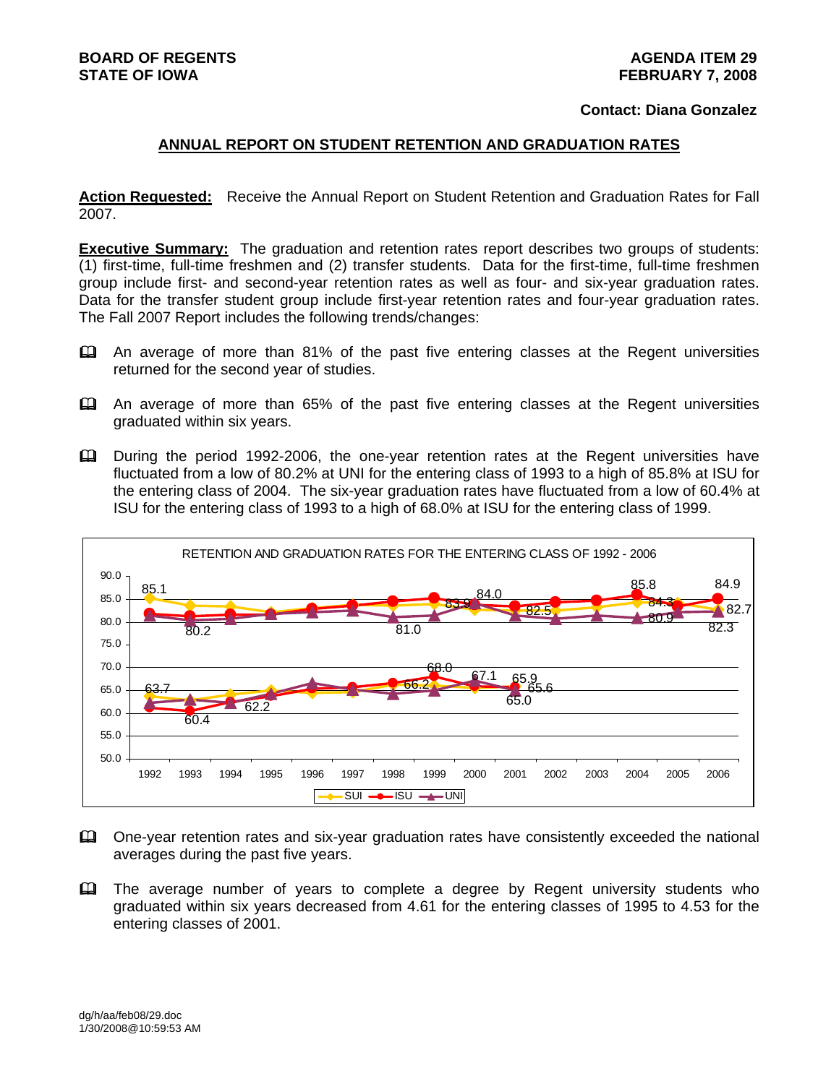#### **Contact: Diana Gonzalez**

#### **ANNUAL REPORT ON STUDENT RETENTION AND GRADUATION RATES**

**Action Requested:** Receive the Annual Report on Student Retention and Graduation Rates for Fall 2007.

**Executive Summary:** The graduation and retention rates report describes two groups of students: (1) first-time, full-time freshmen and (2) transfer students. Data for the first-time, full-time freshmen group include first- and second-year retention rates as well as four- and six-year graduation rates. Data for the transfer student group include first-year retention rates and four-year graduation rates. The Fall 2007 Report includes the following trends/changes:

- An average of more than 81% of the past five entering classes at the Regent universities returned for the second year of studies.
- An average of more than 65% of the past five entering classes at the Regent universities graduated within six years.
- **Example 1992-2006**, the one-year retention rates at the Regent universities have fluctuated from a low of 80.2% at UNI for the entering class of 1993 to a high of 85.8% at ISU for the entering class of 2004. The six-year graduation rates have fluctuated from a low of 60.4% at ISU for the entering class of 1993 to a high of 68.0% at ISU for the entering class of 1999.



- One-year retention rates and six-year graduation rates have consistently exceeded the national averages during the past five years.
- The average number of years to complete a degree by Regent university students who graduated within six years decreased from 4.61 for the entering classes of 1995 to 4.53 for the entering classes of 2001.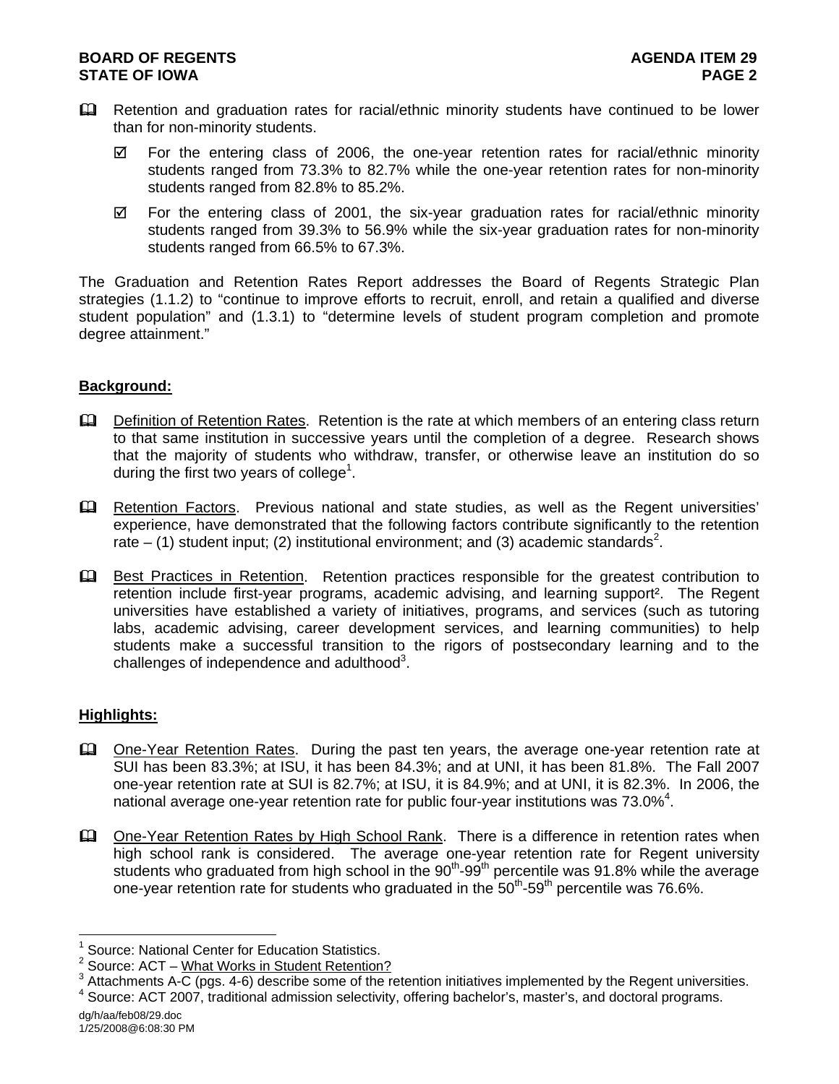## **BOARD OF REGENTS** AGENUS AGENDA ITEM 29 **STATE OF IOWA** PAGE 2

- Retention and graduation rates for racial/ethnic minority students have continued to be lower than for non-minority students.
	- $\boxtimes$  For the entering class of 2006, the one-year retention rates for racial/ethnic minority students ranged from 73.3% to 82.7% while the one-year retention rates for non-minority students ranged from 82.8% to 85.2%.
	- $\boxtimes$  For the entering class of 2001, the six-year graduation rates for racial/ethnic minority students ranged from 39.3% to 56.9% while the six-year graduation rates for non-minority students ranged from 66.5% to 67.3%.

The Graduation and Retention Rates Report addresses the Board of Regents Strategic Plan strategies (1.1.2) to "continue to improve efforts to recruit, enroll, and retain a qualified and diverse student population" and (1.3.1) to "determine levels of student program completion and promote degree attainment."

# **Background:**

- **Example 1** Definition of Retention Rates. Retention is the rate at which members of an entering class return to that same institution in successive years until the completion of a degree. Research shows that the majority of students who withdraw, transfer, or otherwise leave an institution do so during the first two years of college<sup>1</sup>.
- Retention Factors. Previous national and state studies, as well as the Regent universities' experience, have demonstrated that the following factors contribute significantly to the retention rate  $-$  (1) student input; (2) institutional environment; and (3) academic standards<sup>2</sup>.
- **Example 3** Best Practices in Retention. Retention practices responsible for the greatest contribution to retention include first-year programs, academic advising, and learning support². The Regent universities have established a variety of initiatives, programs, and services (such as tutoring labs, academic advising, career development services, and learning communities) to help students make a successful transition to the rigors of postsecondary learning and to the challenges of independence and adulthood $3$ .

#### **Highlights:**

- One-Year Retention Rates. During the past ten years, the average one-year retention rate at SUI has been 83.3%; at ISU, it has been 84.3%; and at UNI, it has been 81.8%. The Fall 2007 one-year retention rate at SUI is 82.7%; at ISU, it is 84.9%; and at UNI, it is 82.3%. In 2006, the national average one-year retention rate for public four-year institutions was 73.0% $^4$ .
- **Cone-Year Retention Rates by High School Rank.** There is a difference in retention rates when high school rank is considered. The average one-year retention rate for Regent university students who graduated from high school in the 90<sup>th</sup>-99<sup>th</sup> percentile was 91.8% while the average one-year retention rate for students who graduated in the  $50<sup>th</sup>$ -59<sup>th</sup> percentile was 76.6%.

l

<sup>1</sup> Source: National Center for Education Statistics.

<sup>&</sup>lt;sup>2</sup> Source: ACT – What Works in Student Retention?

 $3$  Attachments A-C (pgs. 4-6) describe some of the retention initiatives implemented by the Regent universities.<br> $4$  Seurea: ACT 2007, traditional edmission selectivity, effecting becholor's, meeter's, and dectard pregra

<sup>&</sup>lt;sup>4</sup> Source: ACT 2007, traditional admission selectivity, offering bachelor's, master's, and doctoral programs.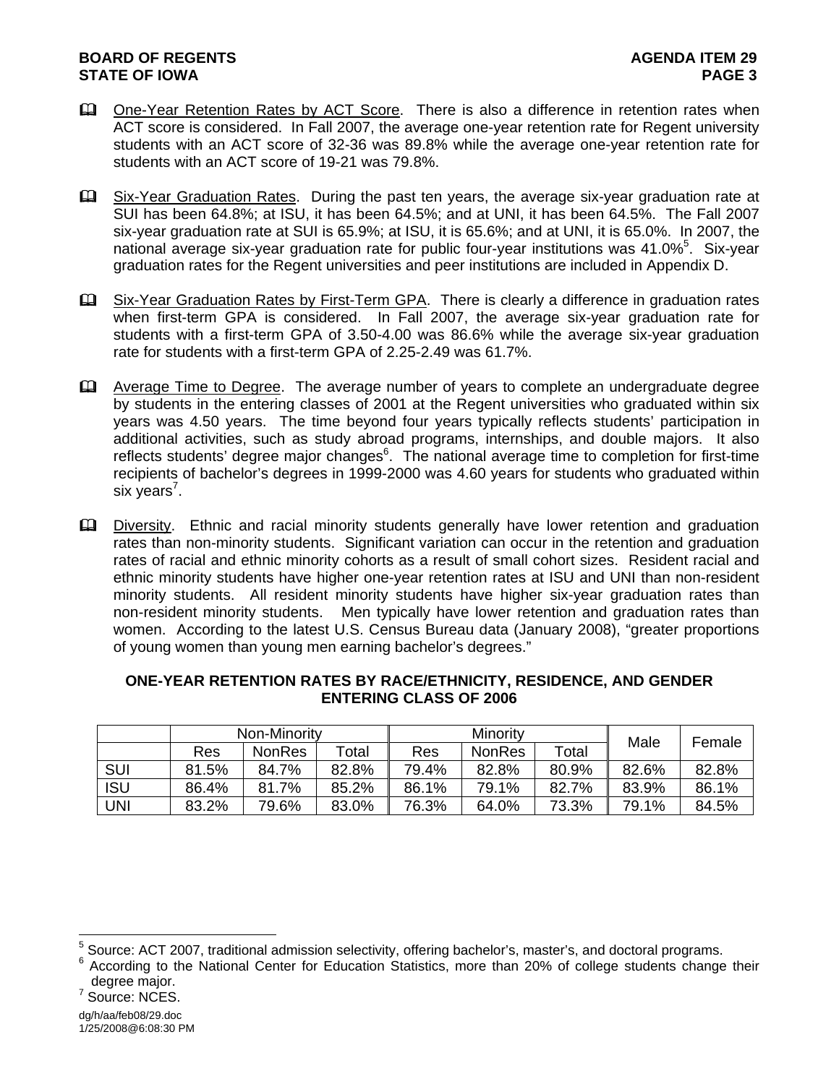## **BOARD OF REGENTS** AGENUS AGENDA ITEM 29 **STATE OF IOWA** PAGE 3

- **Example 2** One-Year Retention Rates by ACT Score. There is also a difference in retention rates when ACT score is considered. In Fall 2007, the average one-year retention rate for Regent university students with an ACT score of 32-36 was 89.8% while the average one-year retention rate for students with an ACT score of 19-21 was 79.8%.
- Six-Year Graduation Rates. During the past ten years, the average six-year graduation rate at SUI has been 64.8%; at ISU, it has been 64.5%; and at UNI, it has been 64.5%. The Fall 2007 six-year graduation rate at SUI is 65.9%; at ISU, it is 65.6%; and at UNI, it is 65.0%. In 2007, the national average six-year graduation rate for public four-year institutions was 41.0%<sup>5</sup>. Six-year graduation rates for the Regent universities and peer institutions are included in Appendix D.
- **Example 20** Six-Year Graduation Rates by First-Term GPA. There is clearly a difference in graduation rates when first-term GPA is considered. In Fall 2007, the average six-year graduation rate for students with a first-term GPA of 3.50-4.00 was 86.6% while the average six-year graduation rate for students with a first-term GPA of 2.25-2.49 was 61.7%.
- Average Time to Degree. The average number of years to complete an undergraduate degree by students in the entering classes of 2001 at the Regent universities who graduated within six years was 4.50 years. The time beyond four years typically reflects students' participation in additional activities, such as study abroad programs, internships, and double majors. It also reflects students' degree major changes<sup>6</sup>. The national average time to completion for first-time recipients of bachelor's degrees in 1999-2000 was 4.60 years for students who graduated within six years<sup>7</sup>.
- **Example 1** Diversity. Ethnic and racial minority students generally have lower retention and graduation rates than non-minority students. Significant variation can occur in the retention and graduation rates of racial and ethnic minority cohorts as a result of small cohort sizes. Resident racial and ethnic minority students have higher one-year retention rates at ISU and UNI than non-resident minority students. All resident minority students have higher six-year graduation rates than non-resident minority students. Men typically have lower retention and graduation rates than women. According to the latest U.S. Census Bureau data (January 2008), "greater proportions of young women than young men earning bachelor's degrees."

|            | Non-Minority |               |             | Minority |               |       | Male  |        |
|------------|--------------|---------------|-------------|----------|---------------|-------|-------|--------|
|            | Res          | <b>NonRes</b> | $\tau$ otal | Res      | <b>NonRes</b> | Total |       | Female |
| <b>SUI</b> | 81.5%        | 84.7%         | 82.8%       | 79.4%    | 82.8%         | 80.9% | 82.6% | 82.8%  |
| <b>ISU</b> | 86.4%        | 81.7%         | 85.2%       | 86.1%    | 79.1%         | 82.7% | 83.9% | 86.1%  |
| JNI        | 83.2%        | 79.6%         | 83.0%       | 76.3%    | 64.0%         | 73.3% | 79.1% | 84.5%  |

## **ONE-YEAR RETENTION RATES BY RACE/ETHNICITY, RESIDENCE, AND GENDER ENTERING CLASS OF 2006**

l

<sup>&</sup>lt;sup>5</sup> Source: ACT 2007, traditional admission selectivity, offering bachelor's, master's, and doctoral programs.<br><sup>6</sup> According to the National Center for Education Statistics, mare than 20% of callege students change

According to the National Center for Education Statistics, more than 20% of college students change their degree major.

<sup>&</sup>lt;sup>7</sup> Source: NCES.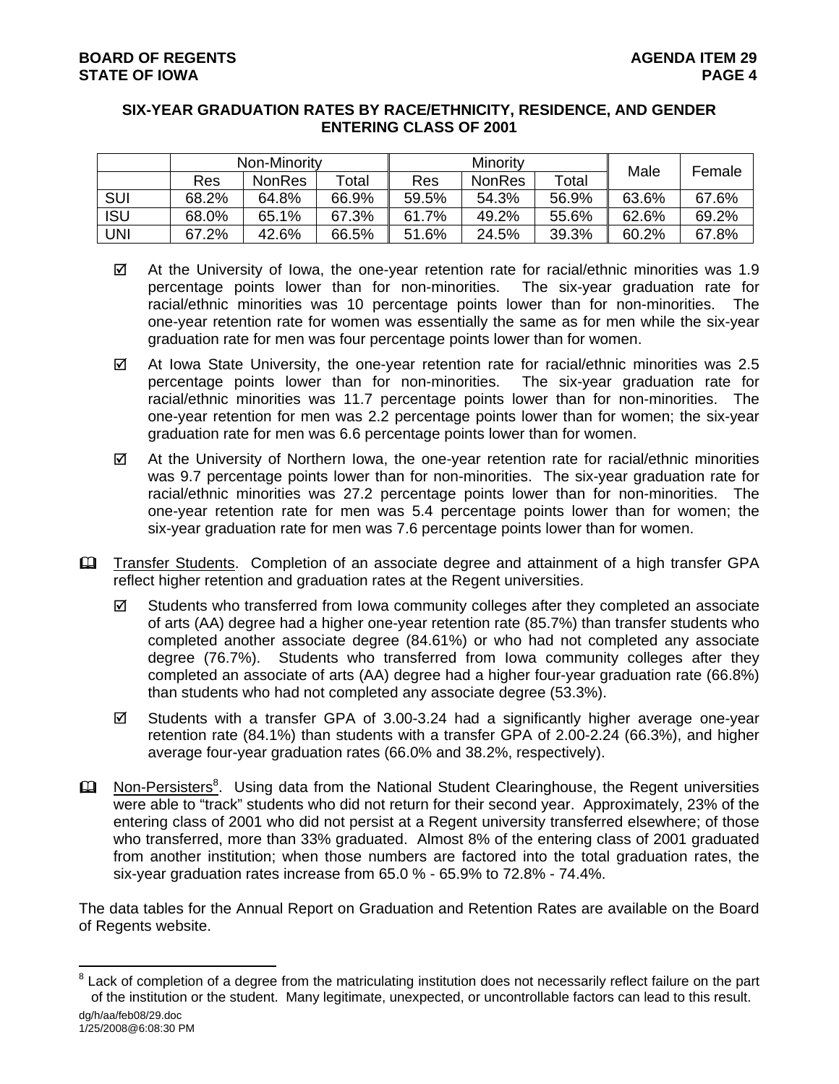## **SIX-YEAR GRADUATION RATES BY RACE/ETHNICITY, RESIDENCE, AND GENDER ENTERING CLASS OF 2001**

|            | Non-Minority |               |       | Minority |               |       | Male  |        |
|------------|--------------|---------------|-------|----------|---------------|-------|-------|--------|
|            | Res          | <b>NonRes</b> | Total | Res      | <b>NonRes</b> | Total |       | Female |
| <b>SUI</b> | 68.2%        | 64.8%         | 66.9% | 59.5%    | 54.3%         | 56.9% | 63.6% | 67.6%  |
| <b>ISU</b> | 68.0%        | 65.1%         | 67.3% | 61.7%    | 49.2%         | 55.6% | 62.6% | 69.2%  |
| UNI        | 67.2%        | 42.6%         | 66.5% | 51.6%    | 24.5%         | 39.3% | 60.2% | 67.8%  |

- $\boxtimes$  At the University of Iowa, the one-year retention rate for racial/ethnic minorities was 1.9 percentage points lower than for non-minorities. The six-year graduation rate for racial/ethnic minorities was 10 percentage points lower than for non-minorities. The one-year retention rate for women was essentially the same as for men while the six-year graduation rate for men was four percentage points lower than for women.
- $\boxtimes$  At Iowa State University, the one-year retention rate for racial/ethnic minorities was 2.5 percentage points lower than for non-minorities. The six-year graduation rate for racial/ethnic minorities was 11.7 percentage points lower than for non-minorities. The one-year retention for men was 2.2 percentage points lower than for women; the six-year graduation rate for men was 6.6 percentage points lower than for women.
- $\boxtimes$  At the University of Northern Iowa, the one-year retention rate for racial/ethnic minorities was 9.7 percentage points lower than for non-minorities. The six-year graduation rate for racial/ethnic minorities was 27.2 percentage points lower than for non-minorities. The one-year retention rate for men was 5.4 percentage points lower than for women; the six-year graduation rate for men was 7.6 percentage points lower than for women.
- **Example 1** Transfer Students. Completion of an associate degree and attainment of a high transfer GPA reflect higher retention and graduation rates at the Regent universities.
	- $\boxtimes$  Students who transferred from lowa community colleges after they completed an associate of arts (AA) degree had a higher one-year retention rate (85.7%) than transfer students who completed another associate degree (84.61%) or who had not completed any associate degree (76.7%). Students who transferred from Iowa community colleges after they completed an associate of arts (AA) degree had a higher four-year graduation rate (66.8%) than students who had not completed any associate degree (53.3%).
	- $\boxtimes$  Students with a transfer GPA of 3.00-3.24 had a significantly higher average one-year retention rate (84.1%) than students with a transfer GPA of 2.00-2.24 (66.3%), and higher average four-year graduation rates (66.0% and 38.2%, respectively).
- **Ell** Non-Persisters<sup>8</sup>. Using data from the National Student Clearinghouse, the Regent universities were able to "track" students who did not return for their second year. Approximately, 23% of the entering class of 2001 who did not persist at a Regent university transferred elsewhere; of those who transferred, more than 33% graduated. Almost 8% of the entering class of 2001 graduated from another institution; when those numbers are factored into the total graduation rates, the six-year graduation rates increase from 65.0 % - 65.9% to 72.8% - 74.4%.

The data tables for the Annual Report on Graduation and Retention Rates are available on the Board of Regents website.

dg/h/aa/feb08/29.doc l 8 Lack of completion of a degree from the matriculating institution does not necessarily reflect failure on the part of the institution or the student. Many legitimate, unexpected, or uncontrollable factors can lead to this result.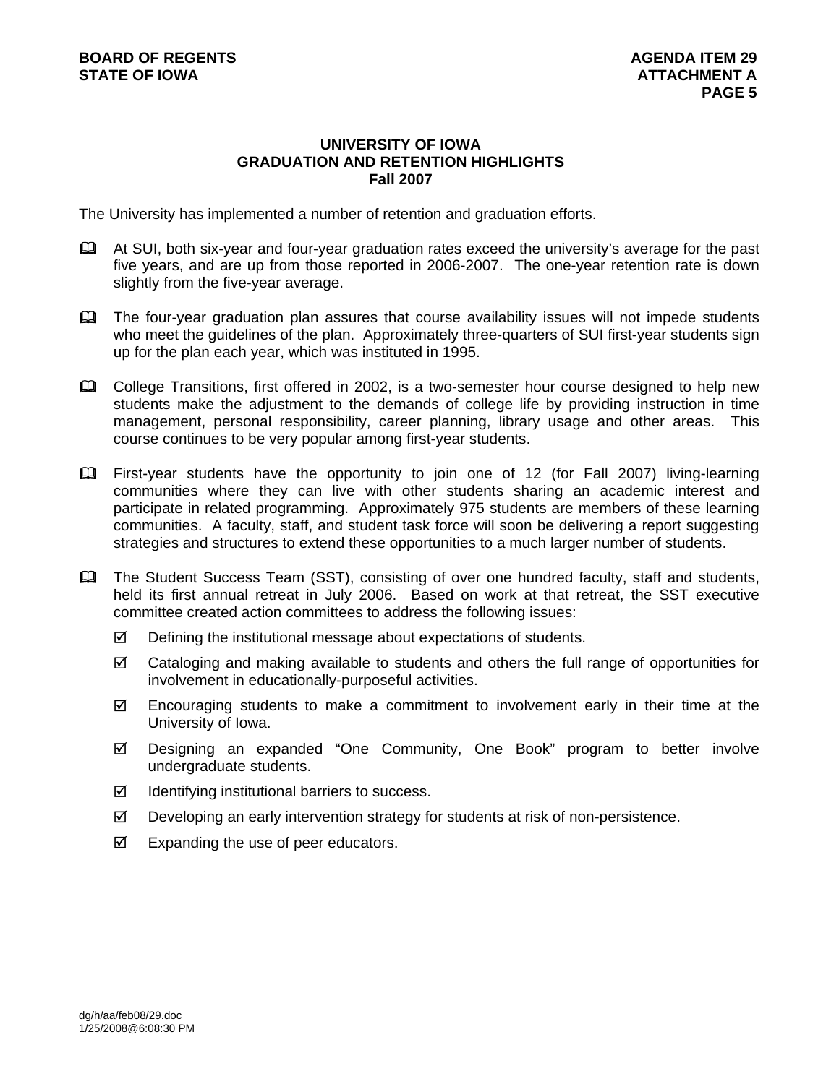#### **UNIVERSITY OF IOWA GRADUATION AND RETENTION HIGHLIGHTS Fall 2007**

The University has implemented a number of retention and graduation efforts.

- At SUI, both six-year and four-year graduation rates exceed the university's average for the past five years, and are up from those reported in 2006-2007. The one-year retention rate is down slightly from the five-year average.
- The four-year graduation plan assures that course availability issues will not impede students who meet the quidelines of the plan. Approximately three-quarters of SUI first-year students sign up for the plan each year, which was instituted in 1995.
- College Transitions, first offered in 2002, is a two-semester hour course designed to help new students make the adjustment to the demands of college life by providing instruction in time management, personal responsibility, career planning, library usage and other areas. This course continues to be very popular among first-year students.
- First-year students have the opportunity to join one of 12 (for Fall 2007) living-learning communities where they can live with other students sharing an academic interest and participate in related programming. Approximately 975 students are members of these learning communities. A faculty, staff, and student task force will soon be delivering a report suggesting strategies and structures to extend these opportunities to a much larger number of students.
- The Student Success Team (SST), consisting of over one hundred faculty, staff and students, held its first annual retreat in July 2006. Based on work at that retreat, the SST executive committee created action committees to address the following issues:
	- $\boxtimes$  Defining the institutional message about expectations of students.
	- $\boxtimes$  Cataloging and making available to students and others the full range of opportunities for involvement in educationally-purposeful activities.
	- $\boxtimes$  Encouraging students to make a commitment to involvement early in their time at the University of Iowa.
	- 5 Designing an expanded "One Community, One Book" program to better involve undergraduate students.
	- $\boxtimes$  Identifying institutional barriers to success.
	- $\boxtimes$  Developing an early intervention strategy for students at risk of non-persistence.
	- $\boxtimes$  Expanding the use of peer educators.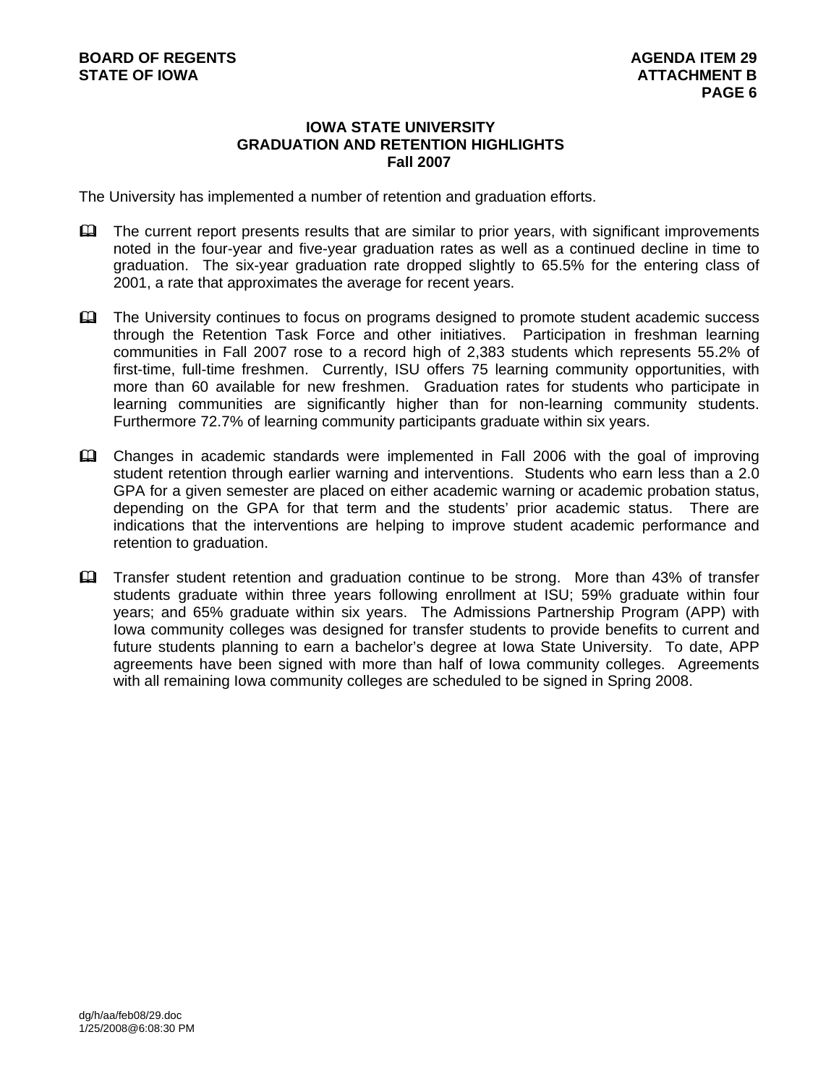## **IOWA STATE UNIVERSITY GRADUATION AND RETENTION HIGHLIGHTS Fall 2007**

The University has implemented a number of retention and graduation efforts.

- $\mathbf{\Omega}$  The current report presents results that are similar to prior years, with significant improvements noted in the four-year and five-year graduation rates as well as a continued decline in time to graduation. The six-year graduation rate dropped slightly to 65.5% for the entering class of 2001, a rate that approximates the average for recent years.
- **EQ** The University continues to focus on programs designed to promote student academic success through the Retention Task Force and other initiatives. Participation in freshman learning communities in Fall 2007 rose to a record high of 2,383 students which represents 55.2% of first-time, full-time freshmen. Currently, ISU offers 75 learning community opportunities, with more than 60 available for new freshmen. Graduation rates for students who participate in learning communities are significantly higher than for non-learning community students. Furthermore 72.7% of learning community participants graduate within six years.
- Changes in academic standards were implemented in Fall 2006 with the goal of improving student retention through earlier warning and interventions. Students who earn less than a 2.0 GPA for a given semester are placed on either academic warning or academic probation status, depending on the GPA for that term and the students' prior academic status. There are indications that the interventions are helping to improve student academic performance and retention to graduation.
- Transfer student retention and graduation continue to be strong. More than 43% of transfer students graduate within three years following enrollment at ISU; 59% graduate within four years; and 65% graduate within six years. The Admissions Partnership Program (APP) with Iowa community colleges was designed for transfer students to provide benefits to current and future students planning to earn a bachelor's degree at Iowa State University. To date, APP agreements have been signed with more than half of Iowa community colleges. Agreements with all remaining Iowa community colleges are scheduled to be signed in Spring 2008.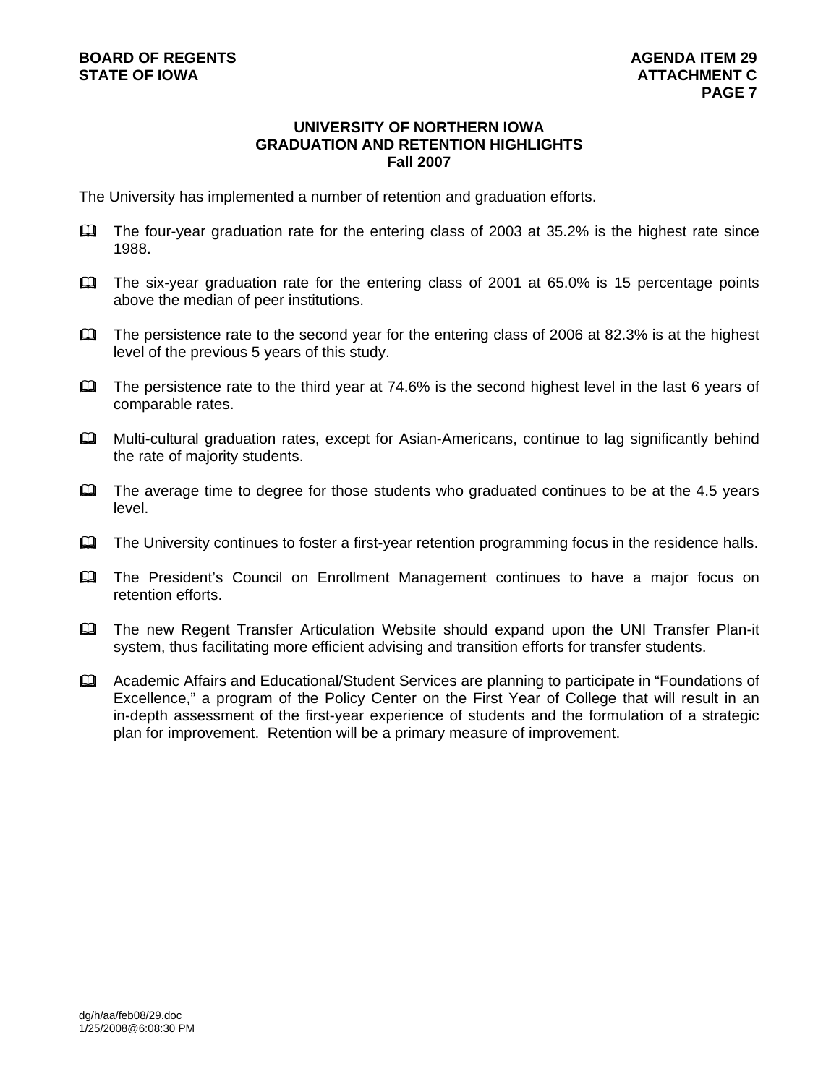#### **UNIVERSITY OF NORTHERN IOWA GRADUATION AND RETENTION HIGHLIGHTS Fall 2007**

The University has implemented a number of retention and graduation efforts.

- The four-year graduation rate for the entering class of 2003 at 35.2% is the highest rate since 1988.
- The six-year graduation rate for the entering class of 2001 at 65.0% is 15 percentage points above the median of peer institutions.
- The persistence rate to the second year for the entering class of 2006 at 82.3% is at the highest level of the previous 5 years of this study.
- $\Box$  The persistence rate to the third year at 74.6% is the second highest level in the last 6 years of comparable rates.
- **Example 1** Multi-cultural graduation rates, except for Asian-Americans, continue to lag significantly behind the rate of majority students.
- The average time to degree for those students who graduated continues to be at the 4.5 years level.
- The University continues to foster a first-year retention programming focus in the residence halls.
- The President's Council on Enrollment Management continues to have a major focus on retention efforts.
- The new Regent Transfer Articulation Website should expand upon the UNI Transfer Plan-it system, thus facilitating more efficient advising and transition efforts for transfer students.
- Academic Affairs and Educational/Student Services are planning to participate in "Foundations of Excellence," a program of the Policy Center on the First Year of College that will result in an in-depth assessment of the first-year experience of students and the formulation of a strategic plan for improvement. Retention will be a primary measure of improvement.